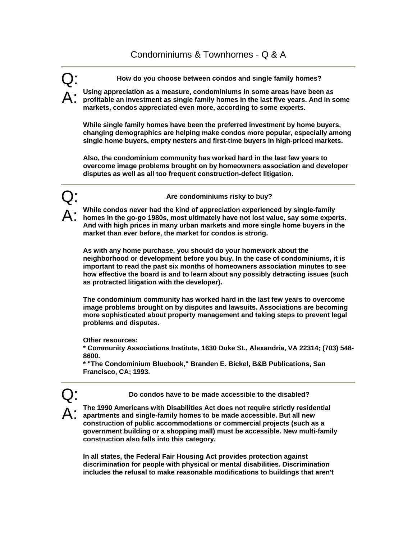## Condominiums & Townhomes - Q & A

Q: **How do you choose between condos and single family homes?** 

A: **Using appreciation as a measure, condominiums in some areas have been as profitable an investment as single family homes in the last five years. And in some markets, condos appreciated even more, according to some experts.** 

**While single family homes have been the preferred investment by home buyers, changing demographics are helping make condos more popular, especially among single home buyers, empty nesters and first-time buyers in high-priced markets.** 

**Also, the condominium community has worked hard in the last few years to overcome image problems brought on by homeowners association and developer disputes as well as all too frequent construction-defect litigation.** 



Are condominiums risky to buy?

A: **While condos never had the kind of appreciation experienced by single-family homes in the go-go 1980s, most ultimately have not lost value, say some experts. And with high prices in many urban markets and more single home buyers in the market than ever before, the market for condos is strong.** 

**As with any home purchase, you should do your homework about the neighborhood or development before you buy. In the case of condominiums, it is important to read the past six months of homeowners association minutes to see how effective the board is and to learn about any possibly detracting issues (such as protracted litigation with the developer).** 

**The condominium community has worked hard in the last few years to overcome image problems brought on by disputes and lawsuits. Associations are becoming more sophisticated about property management and taking steps to prevent legal problems and disputes.** 

**Other resources:** 

**\* Community Associations Institute, 1630 Duke St., Alexandria, VA 22314; (703) 548- 8600.** 

**\* "The Condominium Bluebook," Branden E. Bickel, B&B Publications, San Francisco, CA; 1993.** 

Q: **Do condos have to be made accessible to the disabled?** 

A: **The 1990 Americans with Disabilities Act does not require strictly residential apartments and single-family homes to be made accessible. But all new construction of public accommodations or commercial projects (such as a government building or a shopping mall) must be accessible. New multi-family construction also falls into this category.** 

**In all states, the Federal Fair Housing Act provides protection against discrimination for people with physical or mental disabilities. Discrimination includes the refusal to make reasonable modifications to buildings that aren't**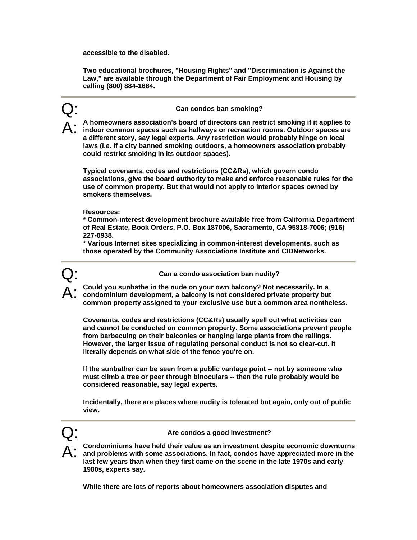**accessible to the disabled.** 

**Two educational brochures, "Housing Rights" and "Discrimination is Against the Law," are available through the Department of Fair Employment and Housing by calling (800) 884-1684.** 

## Q: **Can condos ban smoking?**

A: **A homeowners association's board of directors can restrict smoking if it applies to indoor common spaces such as hallways or recreation rooms. Outdoor spaces are a different story, say legal experts. Any restriction would probably hinge on local laws (i.e. if a city banned smoking outdoors, a homeowners association probably could restrict smoking in its outdoor spaces).** 

**Typical covenants, codes and restrictions (CC&Rs), which govern condo associations, give the board authority to make and enforce reasonable rules for the use of common property. But that would not apply to interior spaces owned by smokers themselves.** 

**Resources:** 

**\* Common-interest development brochure available free from California Department of Real Estate, Book Orders, P.O. Box 187006, Sacramento, CA 95818-7006; (916) 227-0938.** 

**\* Various Internet sites specializing in common-interest developments, such as those operated by the Community Associations Institute and CIDNetworks.** 



Q: **Can a condo association ban nudity?** 

A: **Could you sunbathe in the nude on your own balcony? Not necessarily. In a condominium development, a balcony is not considered private property but common property assigned to your exclusive use but a common area nontheless.** 

**Covenants, codes and restrictions (CC&Rs) usually spell out what activities can and cannot be conducted on common property. Some associations prevent people from barbecuing on their balconies or hanging large plants from the railings. However, the larger issue of regulating personal conduct is not so clear-cut. It literally depends on what side of the fence you're on.** 

**If the sunbather can be seen from a public vantage point -- not by someone who must climb a tree or peer through binoculars -- then the rule probably would be considered reasonable, say legal experts.** 

**Incidentally, there are places where nudity is tolerated but again, only out of public view.** 



Are condos a good investment?

A: **Condominiums have held their value as an investment despite economic downturns and problems with some associations. In fact, condos have appreciated more in the last few years than when they first came on the scene in the late 1970s and early 1980s, experts say.** 

**While there are lots of reports about homeowners association disputes and**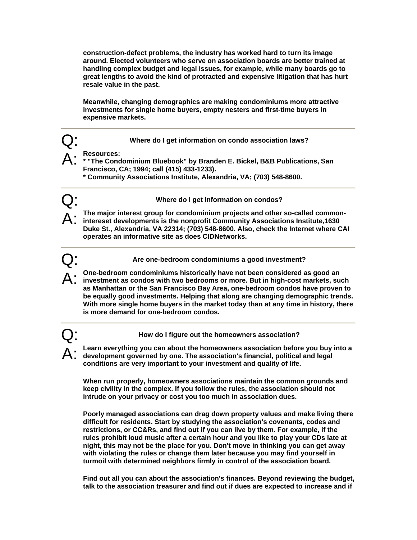**construction-defect problems, the industry has worked hard to turn its image around. Elected volunteers who serve on association boards are better trained at handling complex budget and legal issues, for example, while many boards go to great lengths to avoid the kind of protracted and expensive litigation that has hurt resale value in the past.** 

**Meanwhile, changing demographics are making condominiums more attractive investments for single home buyers, empty nesters and first-time buyers in expensive markets.** 

Q: **Where do I get information on condo association laws?** 

- A: **Resources: \* "The Condominium Bluebook" by Branden E. Bickel, B&B Publications, San Francisco, CA; 1994; call (415) 433-1233).** 
	- **\* Community Associations Institute, Alexandria, VA; (703) 548-8600.**

Q: **Where do I get information on condos?** 

A: **The major interest group for condominium projects and other so-called common-intereset developments is the nonprofit Community Associations Institute,1630 Duke St., Alexandria, VA 22314; (703) 548-8600. Also, check the Internet where CAI operates an informative site as does CIDNetworks.** 

Are one-bedroom condominiums a good investment?

- A: **One-bedroom condominiums historically have not been considered as good an investment as condos with two bedrooms or more. But in high-cost markets, such as Manhattan or the San Francisco Bay Area, one-bedroom condos have proven to be equally good investments. Helping that along are changing demographic trends. With more single home buyers in the market today than at any time in history, there is more demand for one-bedroom condos.**
- 

Q: **How do I figure out the homeowners association?** 

A: **Learn everything you can about the homeowners association before you buy into a development governed by one. The association's financial, political and legal conditions are very important to your investment and quality of life.** 

**When run properly, homeowners associations maintain the common grounds and keep civility in the complex. If you follow the rules, the association should not intrude on your privacy or cost you too much in association dues.** 

**Poorly managed associations can drag down property values and make living there difficult for residents. Start by studying the association's covenants, codes and restrictions, or CC&Rs, and find out if you can live by them. For example, if the rules prohibit loud music after a certain hour and you like to play your CDs late at night, this may not be the place for you. Don't move in thinking you can get away with violating the rules or change them later because you may find yourself in turmoil with determined neighbors firmly in control of the association board.** 

**Find out all you can about the association's finances. Beyond reviewing the budget, talk to the association treasurer and find out if dues are expected to increase and if**